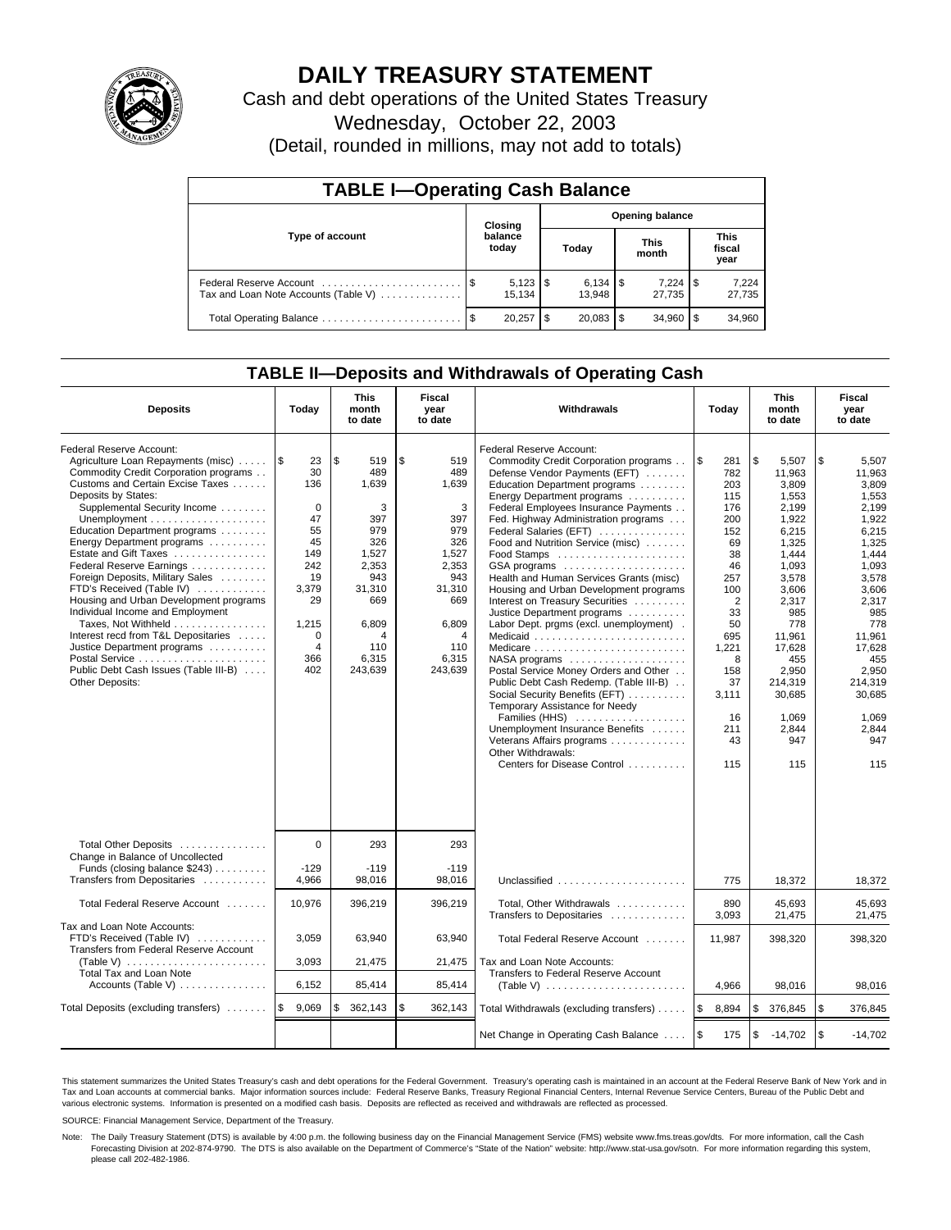

# **DAILY TREASURY STATEMENT**

Cash and debt operations of the United States Treasury

Wednesday, October 22, 2003

(Detail, rounded in millions, may not add to totals)

| <b>TABLE I-Operating Cash Balance</b> |         |                  |     |                 |                      |                 |                        |                 |  |  |
|---------------------------------------|---------|------------------|-----|-----------------|----------------------|-----------------|------------------------|-----------------|--|--|
|                                       | Closing |                  |     | Opening balance |                      |                 |                        |                 |  |  |
| Type of account                       |         | balance<br>today |     | Today           | <b>This</b><br>month |                 | This<br>fiscal<br>year |                 |  |  |
| Tax and Loan Note Accounts (Table V)  |         | 15.134           |     | 13.948          |                      | 7.224<br>27.735 | 1 S                    | 7,224<br>27,735 |  |  |
|                                       |         | 20.257           | \$. | $20,083$ \$     |                      | 34.960          | l \$                   | 34,960          |  |  |

## **TABLE II—Deposits and Withdrawals of Operating Cash**

| <b>Deposits</b>                                                                                                                                                                                                                                                                                                                                                                                                                                                                                                                                                                                                                                                                      | Today                                                                                                                                              | <b>This</b><br>month<br>to date                                                                                                        | <b>Fiscal</b><br>year<br>to date                                                                                                       | Withdrawals                                                                                                                                                                                                                                                                                                                                                                                                                                                                                                                                                                                                                                                                                                                                                                                                                                                                                                      |                                                                                                                                                                                              | <b>This</b><br>month<br>to date                                                                                                                                                                                                 | Fiscal<br>year<br>to date                                                                                                                                                                                                       |
|--------------------------------------------------------------------------------------------------------------------------------------------------------------------------------------------------------------------------------------------------------------------------------------------------------------------------------------------------------------------------------------------------------------------------------------------------------------------------------------------------------------------------------------------------------------------------------------------------------------------------------------------------------------------------------------|----------------------------------------------------------------------------------------------------------------------------------------------------|----------------------------------------------------------------------------------------------------------------------------------------|----------------------------------------------------------------------------------------------------------------------------------------|------------------------------------------------------------------------------------------------------------------------------------------------------------------------------------------------------------------------------------------------------------------------------------------------------------------------------------------------------------------------------------------------------------------------------------------------------------------------------------------------------------------------------------------------------------------------------------------------------------------------------------------------------------------------------------------------------------------------------------------------------------------------------------------------------------------------------------------------------------------------------------------------------------------|----------------------------------------------------------------------------------------------------------------------------------------------------------------------------------------------|---------------------------------------------------------------------------------------------------------------------------------------------------------------------------------------------------------------------------------|---------------------------------------------------------------------------------------------------------------------------------------------------------------------------------------------------------------------------------|
| Federal Reserve Account:<br>Agriculture Loan Repayments (misc)<br>Commodity Credit Corporation programs<br>Customs and Certain Excise Taxes<br>Deposits by States:<br>Supplemental Security Income<br>Unemployment $\dots\dots\dots\dots\dots\dots\dots$<br>Education Department programs<br>Energy Department programs<br>Estate and Gift Taxes<br>Federal Reserve Earnings<br>Foreign Deposits, Military Sales<br>FTD's Received (Table IV)<br>Housing and Urban Development programs<br>Individual Income and Employment<br>Taxes, Not Withheld<br>Interest recd from T&L Depositaries<br>Justice Department programs<br>Public Debt Cash Issues (Table III-B)<br>Other Deposits: | 1\$<br>23<br>30<br>136<br>$\mathbf 0$<br>47<br>55<br>45<br>149<br>242<br>19<br>3,379<br>29<br>1,215<br>$\mathbf 0$<br>$\overline{4}$<br>366<br>402 | \$<br>519<br>489<br>1.639<br>3<br>397<br>979<br>326<br>1,527<br>2,353<br>943<br>31,310<br>669<br>6,809<br>4<br>110<br>6,315<br>243,639 | \$<br>519<br>489<br>1.639<br>3<br>397<br>979<br>326<br>1,527<br>2,353<br>943<br>31,310<br>669<br>6,809<br>4<br>110<br>6,315<br>243,639 | Federal Reserve Account:<br>Commodity Credit Corporation programs<br>Defense Vendor Payments (EFT)<br>Education Department programs<br>Energy Department programs<br>Federal Employees Insurance Payments<br>Fed. Highway Administration programs<br>Federal Salaries (EFT)<br>Food and Nutrition Service (misc)<br>GSA programs<br>Health and Human Services Grants (misc)<br>Housing and Urban Development programs<br>Interest on Treasury Securities<br>Justice Department programs<br>Labor Dept. prgms (excl. unemployment).<br>Medicaid<br>Medicare<br>$NASA$ programs $\ldots \ldots \ldots \ldots \ldots$<br>Postal Service Money Orders and Other<br>Public Debt Cash Redemp. (Table III-B)<br>Social Security Benefits (EFT)<br>Temporary Assistance for Needy<br>Families (HHS)<br>Unemployment Insurance Benefits<br>Veterans Affairs programs<br>Other Withdrawals:<br>Centers for Disease Control | <b>S</b><br>281<br>782<br>203<br>115<br>176<br>200<br>152<br>69<br>38<br>46<br>257<br>100<br>$\overline{2}$<br>33<br>50<br>695<br>1,221<br>8<br>158<br>37<br>3,111<br>16<br>211<br>43<br>115 | \$<br>5,507<br>11.963<br>3.809<br>1,553<br>2,199<br>1,922<br>6,215<br>1.325<br>1.444<br>1,093<br>3,578<br>3,606<br>2,317<br>985<br>778<br>11,961<br>17,628<br>455<br>2,950<br>214.319<br>30,685<br>1.069<br>2,844<br>947<br>115 | \$<br>5,507<br>11,963<br>3.809<br>1,553<br>2,199<br>1,922<br>6,215<br>1,325<br>1.444<br>1,093<br>3,578<br>3,606<br>2,317<br>985<br>778<br>11.961<br>17,628<br>455<br>2,950<br>214.319<br>30,685<br>1,069<br>2,844<br>947<br>115 |
| Total Other Deposits<br>Change in Balance of Uncollected<br>Funds (closing balance $$243$ )<br>Transfers from Depositaries                                                                                                                                                                                                                                                                                                                                                                                                                                                                                                                                                           | $\Omega$<br>$-129$<br>4,966                                                                                                                        | 293<br>$-119$<br>98,016                                                                                                                | 293<br>$-119$<br>98,016                                                                                                                | Unclassified                                                                                                                                                                                                                                                                                                                                                                                                                                                                                                                                                                                                                                                                                                                                                                                                                                                                                                     | 775                                                                                                                                                                                          | 18,372                                                                                                                                                                                                                          | 18,372                                                                                                                                                                                                                          |
| Total Federal Reserve Account                                                                                                                                                                                                                                                                                                                                                                                                                                                                                                                                                                                                                                                        | 10,976                                                                                                                                             | 396,219                                                                                                                                | 396,219                                                                                                                                | Total, Other Withdrawals                                                                                                                                                                                                                                                                                                                                                                                                                                                                                                                                                                                                                                                                                                                                                                                                                                                                                         | 890                                                                                                                                                                                          | 45,693                                                                                                                                                                                                                          | 45,693                                                                                                                                                                                                                          |
| Tax and Loan Note Accounts:<br>FTD's Received (Table IV)<br>Transfers from Federal Reserve Account<br>(Table V) $\ldots \ldots \ldots \ldots \ldots \ldots \ldots$<br><b>Total Tax and Loan Note</b>                                                                                                                                                                                                                                                                                                                                                                                                                                                                                 | 3,059<br>3,093                                                                                                                                     | 63,940<br>21,475                                                                                                                       | 63,940<br>21,475                                                                                                                       | Transfers to Depositaries<br>Total Federal Reserve Account<br>Tax and Loan Note Accounts:<br>Transfers to Federal Reserve Account                                                                                                                                                                                                                                                                                                                                                                                                                                                                                                                                                                                                                                                                                                                                                                                | 3,093<br>11,987                                                                                                                                                                              | 21,475<br>398,320                                                                                                                                                                                                               | 21,475<br>398,320                                                                                                                                                                                                               |
| Accounts (Table V)                                                                                                                                                                                                                                                                                                                                                                                                                                                                                                                                                                                                                                                                   | 6,152                                                                                                                                              | 85,414                                                                                                                                 | 85,414                                                                                                                                 | (Table V) $\ldots \ldots \ldots \ldots \ldots \ldots \ldots$                                                                                                                                                                                                                                                                                                                                                                                                                                                                                                                                                                                                                                                                                                                                                                                                                                                     | 4,966                                                                                                                                                                                        | 98,016                                                                                                                                                                                                                          | 98,016                                                                                                                                                                                                                          |
| Total Deposits (excluding transfers)                                                                                                                                                                                                                                                                                                                                                                                                                                                                                                                                                                                                                                                 | l\$<br>9,069                                                                                                                                       | 362,143<br>\$                                                                                                                          | \$<br>362,143                                                                                                                          | Total Withdrawals (excluding transfers)                                                                                                                                                                                                                                                                                                                                                                                                                                                                                                                                                                                                                                                                                                                                                                                                                                                                          | l\$<br>8,894                                                                                                                                                                                 | \$<br>376,845                                                                                                                                                                                                                   | <b>S</b><br>376,845                                                                                                                                                                                                             |
|                                                                                                                                                                                                                                                                                                                                                                                                                                                                                                                                                                                                                                                                                      |                                                                                                                                                    |                                                                                                                                        |                                                                                                                                        | Net Change in Operating Cash Balance                                                                                                                                                                                                                                                                                                                                                                                                                                                                                                                                                                                                                                                                                                                                                                                                                                                                             | <b>S</b><br>175                                                                                                                                                                              | \$<br>$-14,702$                                                                                                                                                                                                                 | $\sqrt{3}$<br>$-14,702$                                                                                                                                                                                                         |

This statement summarizes the United States Treasury's cash and debt operations for the Federal Government. Treasury's operating cash is maintained in an account at the Federal Reserve Bank of New York and in Tax and Loan accounts at commercial banks. Major information sources include: Federal Reserve Banks, Treasury Regional Financial Centers, Internal Revenue Service Centers, Bureau of the Public Debt and<br>various electronic s

SOURCE: Financial Management Service, Department of the Treasury.

Note: The Daily Treasury Statement (DTS) is available by 4:00 p.m. the following business day on the Financial Management Service (FMS) website www.fms.treas.gov/dts. For more information, call the Cash Forecasting Division at 202-874-9790. The DTS is also available on the Department of Commerce's "State of the Nation" website: http://www.stat-usa.gov/sotn. For more information regarding this system, please call 202-482-1986.